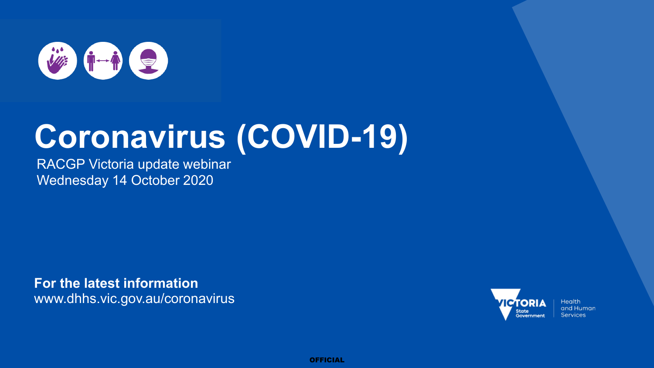

# **Coronavirus (COVID-19)**

RACGP Victoria update webinar Wednesday 14 October 2020

**For the latest information** www.dhhs.vic.gov.au/coronavirus



**Health** and Human **Services** 

**OFFICIAL**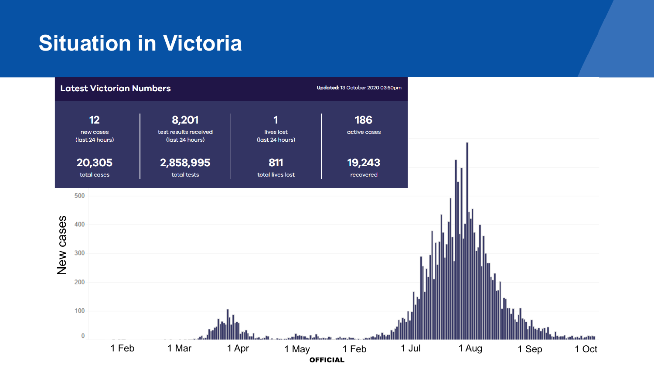### **Situation in Victoria**

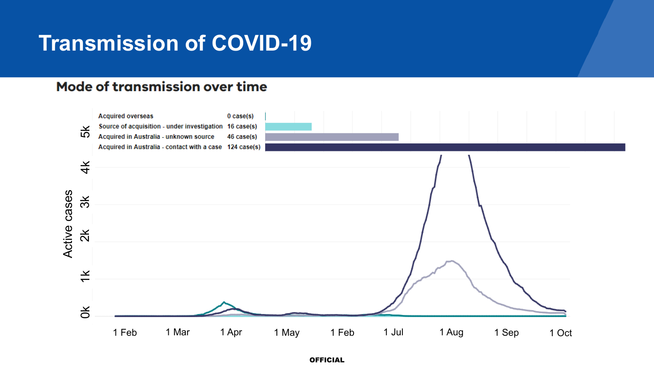#### **Transmission of COVID-19**

#### **Mode of transmission over time**

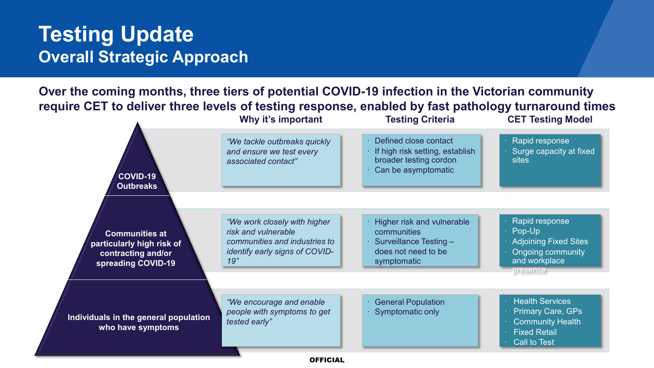#### **Testing Update Overall Strategic Approach**

**Over the coming months, three tiers of potential COVID-19 infection in the Victorian community require CET to deliver three levels of testing response, enabled by fast pathology turnaround times**

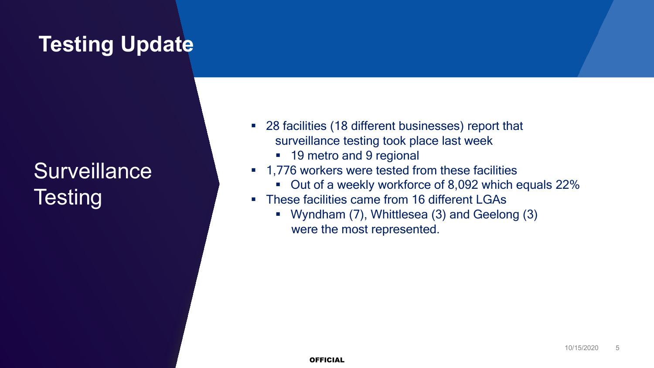### **Testing Update**

## **Surveillance Testing**

- 28 facilities (18 different businesses) report that surveillance testing took place last week
	- 19 metro and 9 regional
- 1,776 workers were tested from these facilities
	- Out of a weekly workforce of 8,092 which equals 22%
- **These facilities came from 16 different LGAs** 
	- Wyndham (7), Whittlesea (3) and Geelong (3) were the most represented.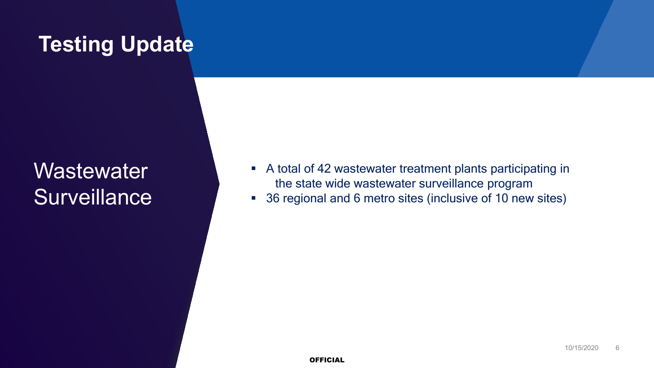### **Testing Update**

**Wastewater Surveillance** 

- A total of 42 wastewater treatment plants participating in the state wide wastewater surveillance program
- 36 regional and 6 metro sites (inclusive of 10 new sites)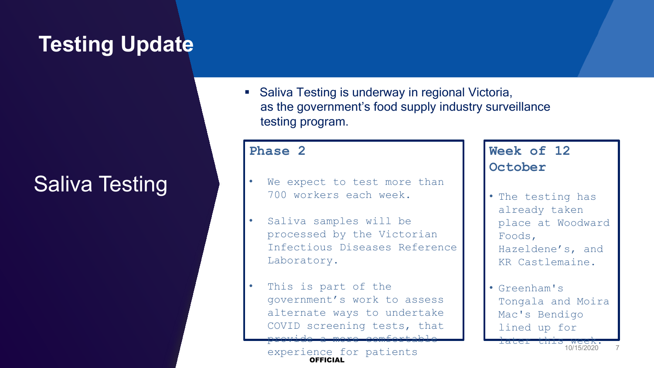### **Testing Update**

#### Saliva Testing

■ Saliva Testing is underway in regional Victoria, as the government's food supply industry surveillance testing program.

#### **Phase 2**

- We expect to test more than 700 workers each week.
- Saliva samples will be processed by the Victorian Infectious Diseases Reference Laboratory.
- This is part of the government's work to assess alternate ways to undertake COVID screening tests, that provide a more comfortable

**OFFICIAL** experience for patients

#### **Week of 12 October**

- The testing has already taken place at Woodward Foods, Hazeldene's, and KR Castlemaine.
- Greenham's Tongala and Moira Mac's Bendigo lined up for

later this week.

7 10/15/2020